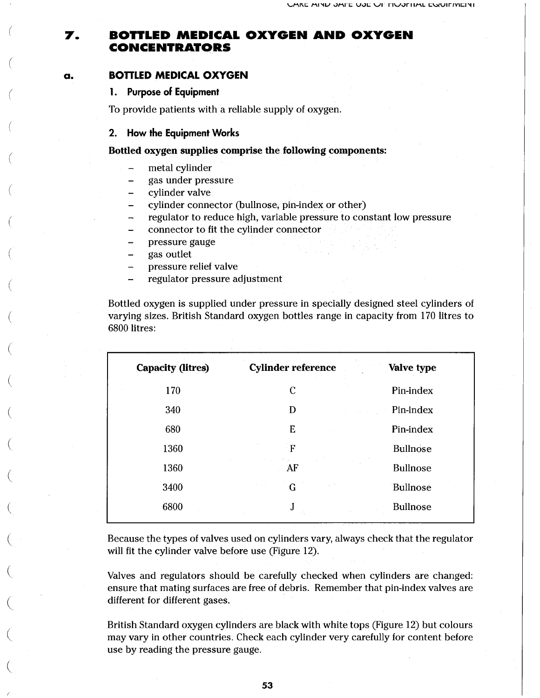#### **BOTTLED MEDICAL OXYGEN AND OXYGEN** 7. **CONCENTRATORS**

#### **BOTTLED MEDICAL O XYGEN** a.

### **1. Purpose of Equipment**

To provide patients with a reliable supply of oxygen.

### **2. How the Equipment Works**

Bottled oxygen supplies comprise the following components:

- metal cylinder
- gas under pressure  $\overline{\phantom{0}}$
- cylinder valve  $\equiv$
- cylinder connector (bullnose, pin-index or other) -
- $\overline{a}$ regulator to reduce high, variable pressure to constant low pressure
- connector to fit the cylinder connector ÷
- pressure gauge
- gas outlet  $\overline{\phantom{0}}$
- pressure relief valve
- regulator pressure adjustment

Bottled oxygen is supplied under pressure in specially designed steel cylinders of varying sizes. British Standard oxygen bottles range in capacity from 170 litres to 6800 litres:

| <b>Capacity (litres)</b> | <b>Cylinder reference</b> | Valve type                    |
|--------------------------|---------------------------|-------------------------------|
| 170                      | $\mathbf{C}$              | Pin-index                     |
| 340                      | D                         | Pin-index<br><b>Carl Carl</b> |
| 680                      | E                         | Pin-index                     |
| 1360                     | F                         | <b>Bullnose</b>               |
| 1360                     | Post.<br>AF               | <b>Bullnose</b>               |
| 3400                     | G                         | Bullnose                      |
| 6800                     | J                         | <b>Bullnose</b>               |
|                          |                           |                               |

Because the types of valves used on cylinders vary, always check that the regulator will fit the cylinder valve before use (Figure 12).

Valves and regulators should be carefully checked when cylinders are changed: ensure that mating surfaces are free of debris. Remember that pin-index valves are different for different gases.

British Standard oxygen cylinders are black with white tops (Figure 12) but colours may vary in other countries. Check each cylinder very carefully for content before use by reading the pressure gauge.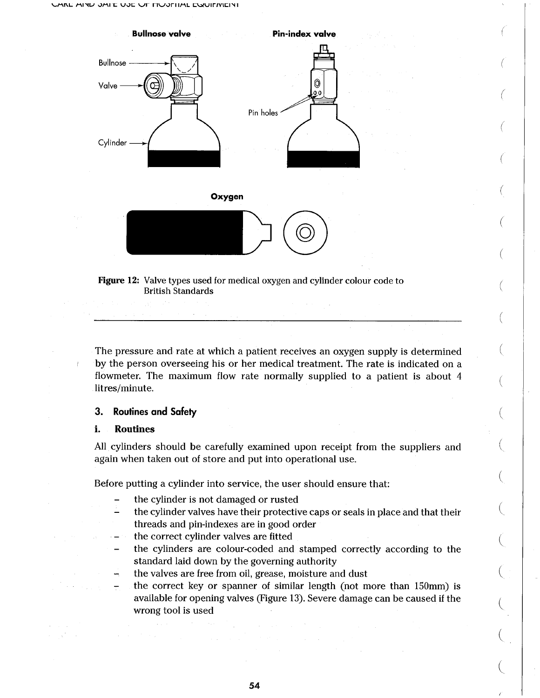







The pressure and rate at which a patient receives an oxygen supply is determined by the person overseeing his or her medical treatment. The rate is indicated on a flowmeter. The maximum flow rate normally supplied to a patient is about 4 litres/minute.

### **3. Routines and Safety**

 $\sim 10^{-1}$ 

#### i. Routines

All cylinders should be carefully examined upon receipt from the suppliers and again when taken out of store and put into operational use.

Before putting a cylinder into service, the user should ensure that:

- the cylinder is not damaged or rusted
- the cylinder valves have their protective caps or seals in place and that their threads and pin-indexes are in good order
- the correct cylinder valves are fitted
- the cylinders are colour-coded and stamped correctly according to the standard laid down by the governing authority
- the valves are free from oil, grease, moisture and dust

the correct key or spanner of similar length (not more than 150mm) is available for opening valves (Figure 13). Severe damage can be caused if the wrong tool is used

/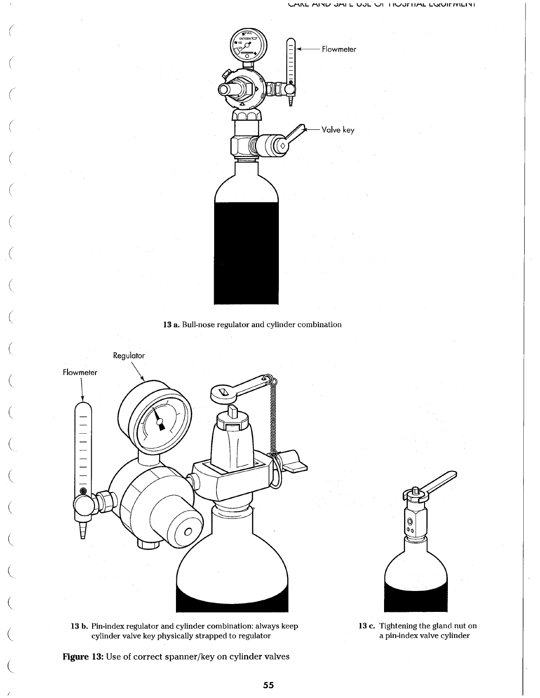





13 b. Pin-index regulator and cylinder combination: always keep cylinder valve key physically strapped to regulator

Figure 13: Use of correct spanner/key on cylinder valves



13 c. Tightening the gland nut on a pin-index valve cylinder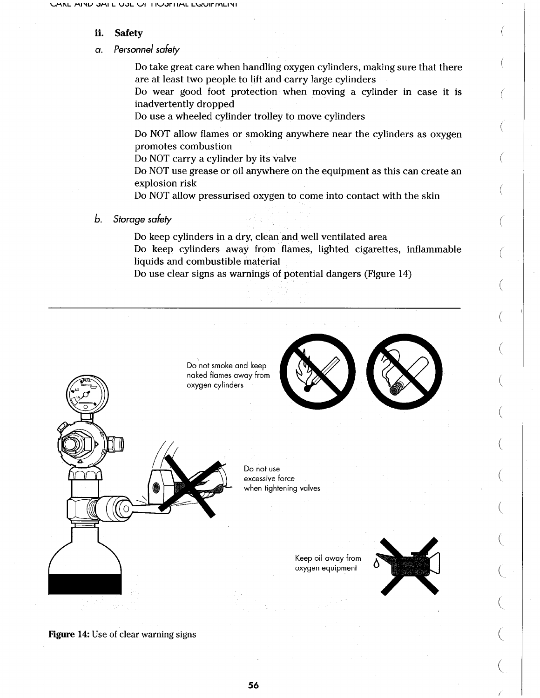#### ii. Safety

### *a. Personnel safely*

Do take great care when handling oxygen cylinders, making sure that there are at least two people to lift and carry large cylinders

Do wear good foot protection when moving a cylinder in case it is inadvertently dropped

Do use a wheeled cylinder trolley to move cylinders

Do NOT allow flames or smoking anywhere near the cylinders as oxygen promotes combustion

Do NOT carry a cylinder by its valve

Do NOT use grease or oil anywhere on the equipment as this can create an explosion risk

Do NOT allow pressurised oxygen to come into contact with the skin

*b. Storage safety*

Do keep cylinders in a dry, clean and well ventilated area Do keep cylinders away from flames, lighted cigarettes, inflammable liquids and combustible material

Do use clear signs as warnings of potential dangers (Figure 14)



Figure 14: Use of clear warning signs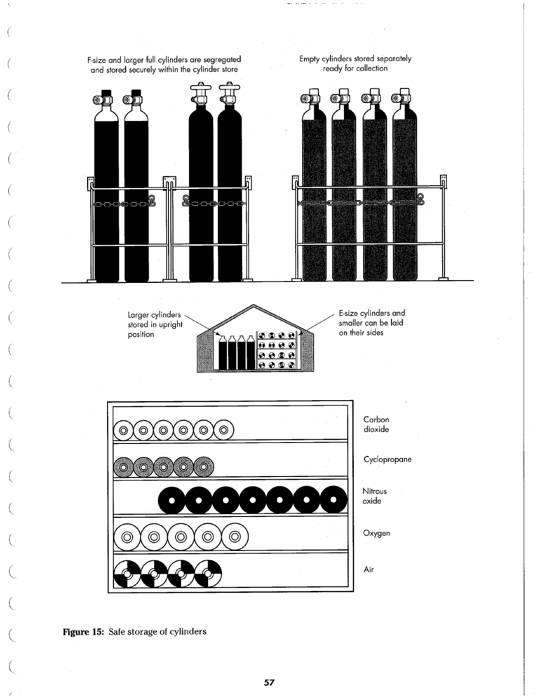

Figure 15: Safe storage of cylinders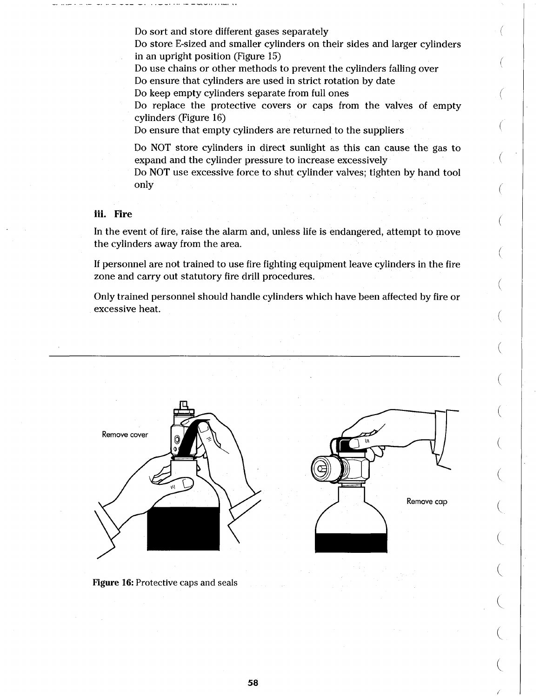Do sort and store different gases separately

Do store E-sized and smaller cylinders on their sides and larger cylinders in an upright position (Figure 15)

Do use chains or other methods to prevent the cylinders falling over Do ensure that cylinders are used in strict rotation by date

Do keep empty cylinders separate from full ones

Do replace the protective covers or caps from the valves of empty cylinders (Figure 16)

Do ensure that empty cylinders are returned to the suppliers

Do NOT store cylinders in direct sunlight as this can cause the gas to expand and the cylinder pressure to increase excessively

Do NOT use excessive force to shut cylinder valves; tighten by hand tool only

## iii. Fire

In the event of fire, raise the alarm and, unless life is endangered, attempt to move the cylinders away from the area.

If personnel are not trained to use fire fighting equipment leave cylinders in the fire zone and carry out statutory fire drill procedures.

Only trained personnel should handle cylinders which have been affected by fire or excessive heat.



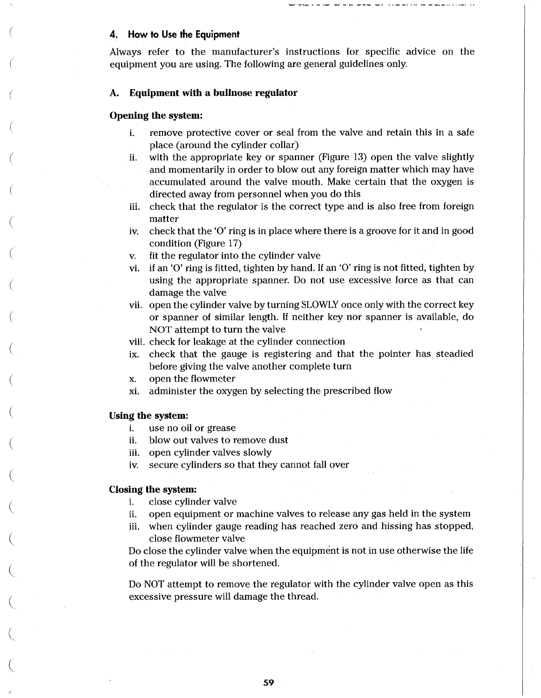### **4. How to Use the Equipment**

Always refer to the manufacturer's instructions for specific advice on the equipment you are using. The following are general guidelines only.

of an and on the second

#### A. Equipment with a bullnose regulator

### Opening the system:

- i. remove protective cover or seal from the valve and retain this in a safe place (around the cylinder collar)
- ii. with the appropriate key or spanner (Figure 13) open the valve slightly and momentarily in order to blow out any foreign matter which may have accumulated around the valve mouth. Make certain that the oxygen is directed away from personnel when you do this
- iii. check that the regulator is the correct type and is also free from foreign matter
- iv. check that the 'O' ring is in place where there is a groove for it and in good condition (Figure 17)
- v. fit the regulator into the cylinder valve
- vi. if an 'O' ring is fitted, tighten by hand. If an 'O' ring is not fitted, tighten by using the appropriate spanner. Do not use excessive force as that can damage the valve
- vii. open the cylinder valve by turning SLOWLY once only with the correct key or spanner of similar length. If neither key nor spanner is available, do NOT attempt to turn the valve
- viii. check for leakage at the cylinder connection
- ix. check that the gauge is registering and that the pointer has steadied before giving the valve another complete turn
- x. open the flowmeter
- xi. administer the oxygen by selecting the prescribed flow

### Using the system:

- i. use no oil or grease
- ii. blow out valves to remove dust
- iii. open cylinder valves slowly
- iv. secure cylinders so that they cannot fall over

### Closing the system:

- i. close cylinder valve
- ii. open equipment or machine valves to release any gas held in the system
- iii. when cylinder gauge reading has reached zero and hissing has stopped, close flowmeter valve

Do close the cylinder valve when the equipment is not in use otherwise the life of the regulator will be shortened.

Do NOT attempt to remove the regulator with the cylinder valve open as this excessive pressure will damage the thread.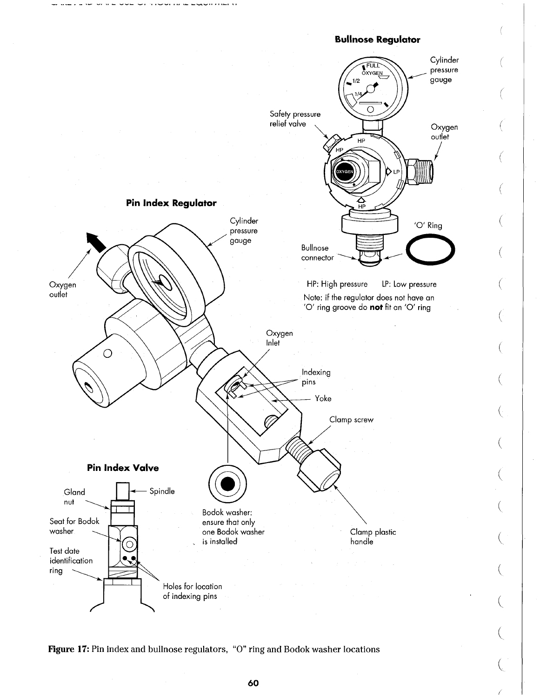



Figure 17: Pin index and bullnose regulators, "0" ring and Bodok washer locations

 $\left($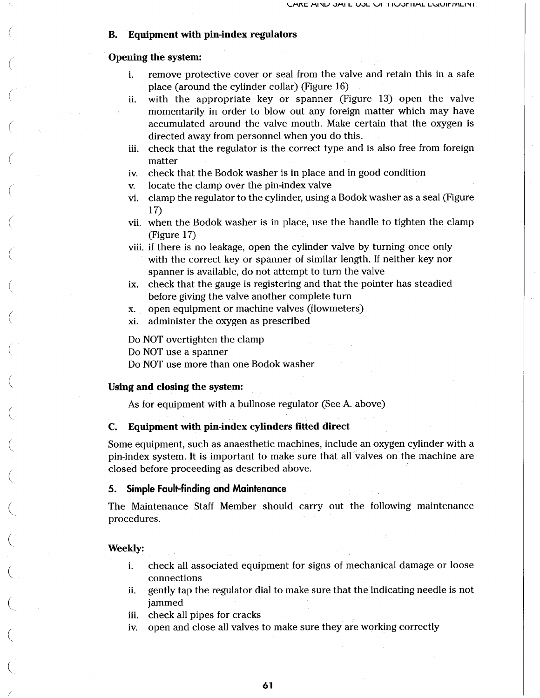### B. Equipment with pin-index regulators

### Opening the system:

- i. remove protective cover or seal from the valve and retain this in a safe place (around the cylinder collar) (Figure 16)
- ii. with the appropriate key or spanner (Figure 13) open the valve momentarily in order to blow out any foreign matter which may have accumulated around the valve mouth. Make certain that the oxygen is directed away from personnel when you do this.
- iii. check that the regulator is the correct type and is also free from foreign matter
- iv. check that the Bodok washer is in place and in good condition
- v. locate the clamp over the pin-index valve
- vi. clamp the regulator to the cylinder, using a Bodok washer as a seal (Figure 17)
- vii. when the Bodok washer is in place, use the handle to tighten the clamp (Figure 17)

viii. if there is no leakage, open the cylinder valve by turning once only with the correct key or spanner of similar length. If neither key nor spanner is available, do not attempt to turn the valve

- ix. check that the gauge is registering and that the pointer has steadied before giving the valve another complete turn
- x. open equipment or machine valves (flowmeters)
- xi. administer the oxygen as prescribed

Do NOT overtighten the clamp

Do NOT use a spanner

Do NOT use more than one Bodok washer

## Using and closing the system:

As for equipment with a bullnose regulator (See A. above)

### C. Equipment with pin-index cylinders fitted direct

Some equipment, such as anaesthetic machines, include an oxygen cylinder with a pin-index system. It is important to make sure that all valves on the machine are closed before proceeding as described above.

### **5. Simple Fault-finding and Maintenance**

The Maintenance Staff Member should carry out the following maintenance procedures.

### Weekly:

- i. check all associated equipment for signs of mechanical damage or loose connections
- ii. gently tap the regulator dial to make sure that the indicating needle is not jammed
- iii. check all pipes for cracks
- iv. open and close all valves to make sure they are working correctly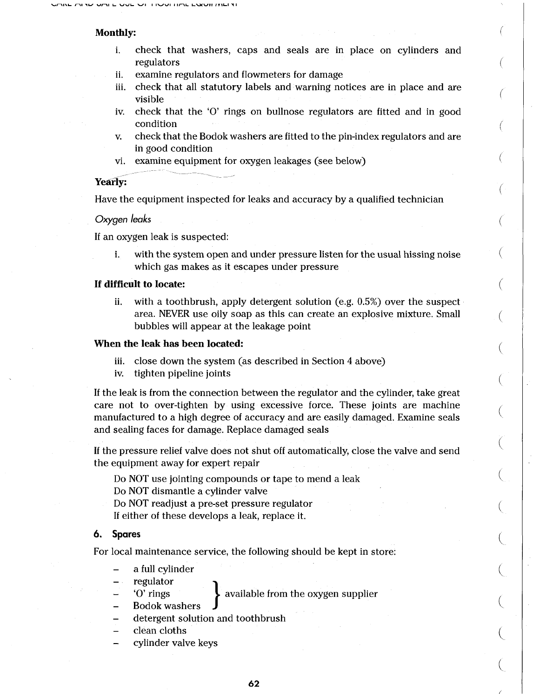### Monthly:

- i. check that washers, caps and seals are in place on cylinders and regulators
- ii. examine regulators and flowmeters for damage
- iii. check that all statutory labels and warning notices are in place and are visible
- iv. check that the 'O' rings on bullnose regulators are fitted and in good condition
- **V.** check that the Bodok washers are fitted to the pin-index regulators and are in good condition
- vi. examine equipment for oxygen leakages (see below)

### Yearly:

Have the equipment inspected for leaks and accuracy by a qualified technician

*Oxygen leaks*

If an oxygen leak is suspected:

i. with the system open and under pressure listen for the usual hissing noise which gas makes as it escapes under pressure

### If difficult to locate:

ii. with a toothbrush, apply detergent solution (e.g. 0.5%) over the suspect area. NEVER use oily soap as this can create an explosive mixture. Small bubbles will appear at the leakage point

### When the leak has been located:

- iii. close down the system (as described in Section 4 above)
- iv. tighten pipeline joints

If the leak is from the connection between the regulator and the cylinder, take great care not to over-tighten by using excessive force. These joints are machine manufactured to a high degree of accuracy and are easily damaged. Examine seals and sealing faces for damage. Replace damaged seals

If the pressure relief valve does not shut off automatically, close the valve and send the equipment away for expert repair

Do NOT use jointing compounds or tape to mend a leak

Do NOT dismantle a cylinder valve

Do NOT readjust a pre-set pressure regulator

If either of these develops a leak, replace it.

### **6. Spares**

For local maintenance service, the following should be kept in store:

- a full cylinder
- regulator
	- 'O' rings available from the oxygen supplier
- Bodok washers
- detergent solution and toothbrush
- clean cloths
- cylinder valve keys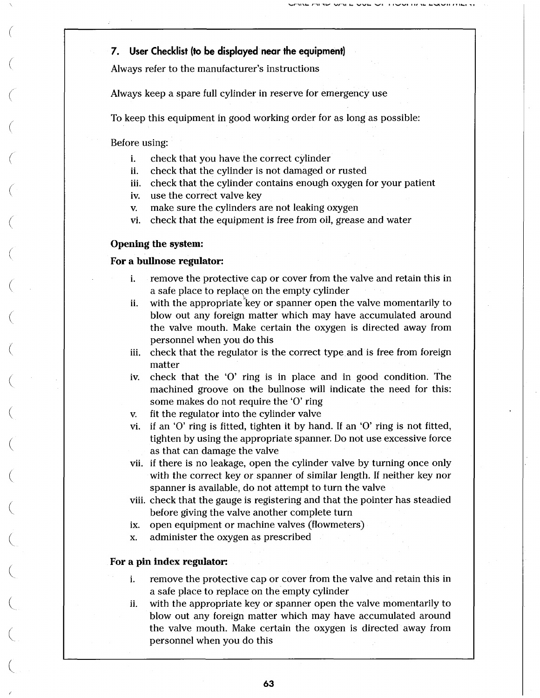# **7. User Checklist (to be displayed near the equipment)**

Always refer to the manufacturer's instructions

Always keep a spare full cylinder in reserve for emergency use

To keep this equipment in good working order for as long as possible:

Before using:

- i. check that you have the correct cylinder
- ii. check that the cylinder is not damaged or rusted
- iii. check that the cylinder contains enough oxygen for your patient
- iv. use the correct valve key
- v. make sure the cylinders are not leaking oxygen
- vi. check that the equipment is free from oil, grease and water

# Opening the system:

# For a bullnose regulator:

- i. remove the protective cap or cover from the valve and retain this in a safe place to replace on the empty cylinder
- ii. with the appropriate key or spanner open the valve momentarily to blow out any foreign matter which may have accumulated around the valve mouth. Make certain the oxygen is directed away from personnel when you do this
- iii. check that the regulator is the correct type and is free from foreign matter
- iv. check that the 'O' ring is in place and in good condition. The machined groove on the bullnose will indicate the need for this: some makes do not require the 'O' ring
- v. fit the regulator into the cylinder valve
- vi. if an 'O' ring is fitted, tighten it by hand. If an 'O' ring is not fitted, tighten by using the appropriate spanner. Do not use excessive force as that can damage the valve
- vii. if there is no leakage, open the cylinder valve by turning once only with the correct key or spanner of similar length. If neither key nor spanner is available, do not attempt to turn the valve
- viii. check that the gauge is registering and that the pointer has steadied before giving the valve another complete turn
- ix. open equipment or machine valves (flowmeters)
- x. administer the oxygen as prescribed

# For a pin index regulator:

- i. remove the protective cap or cover from the valve and retain this in a safe place to replace on the empty cylinder
- ii. with the appropriate key or spanner open the valve momentarily to blow out any foreign matter which may have accumulated around the valve mouth. Make certain the oxygen is directed away from personnel when you do this